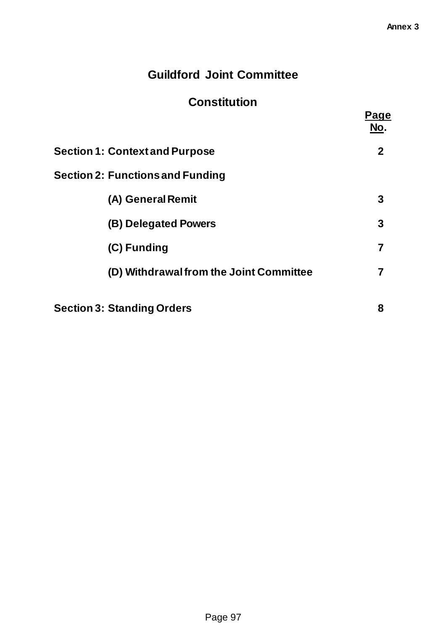# **Guildford Joint Committee**

# **Constitution**

|                                         | Page<br>No.    |
|-----------------------------------------|----------------|
| <b>Section 1: Context and Purpose</b>   | $\mathbf{2}$   |
| <b>Section 2: Functions and Funding</b> |                |
| (A) General Remit                       | 3              |
| (B) Delegated Powers                    | 3              |
| (C) Funding                             | $\overline{7}$ |
| (D) Withdrawal from the Joint Committee | 7              |
| <b>Section 3: Standing Orders</b>       | 8              |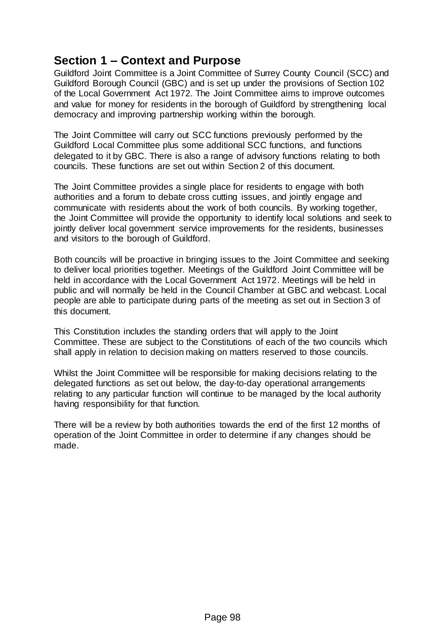## **Section 1 – Context and Purpose**

Guildford Joint Committee is a Joint Committee of Surrey County Council (SCC) and Guildford Borough Council (GBC) and is set up under the provisions of Section 102 of the Local Government Act 1972. The Joint Committee aims to improve outcomes and value for money for residents in the borough of Guildford by strengthening local democracy and improving partnership working within the borough.

The Joint Committee will carry out SCC functions previously performed by the Guildford Local Committee plus some additional SCC functions, and functions delegated to it by GBC. There is also a range of advisory functions relating to both councils. These functions are set out within Section 2 of this document.

The Joint Committee provides a single place for residents to engage with both authorities and a forum to debate cross cutting issues, and jointly engage and communicate with residents about the work of both councils. By working together, the Joint Committee will provide the opportunity to identify local solutions and seek to jointly deliver local government service improvements for the residents, businesses and visitors to the borough of Guildford.

Both councils will be proactive in bringing issues to the Joint Committee and seeking to deliver local priorities together. Meetings of the Guildford Joint Committee will be held in accordance with the Local Government Act 1972. Meetings will be held in public and will normally be held in the Council Chamber at GBC and webcast. Local people are able to participate during parts of the meeting as set out in Section 3 of this document.

This Constitution includes the standing orders that will apply to the Joint Committee. These are subject to the Constitutions of each of the two councils which shall apply in relation to decision making on matters reserved to those councils.

Whilst the Joint Committee will be responsible for making decisions relating to the delegated functions as set out below, the day-to-day operational arrangements relating to any particular function will continue to be managed by the local authority having responsibility for that function.

There will be a review by both authorities towards the end of the first 12 months of operation of the Joint Committee in order to determine if any changes should be made.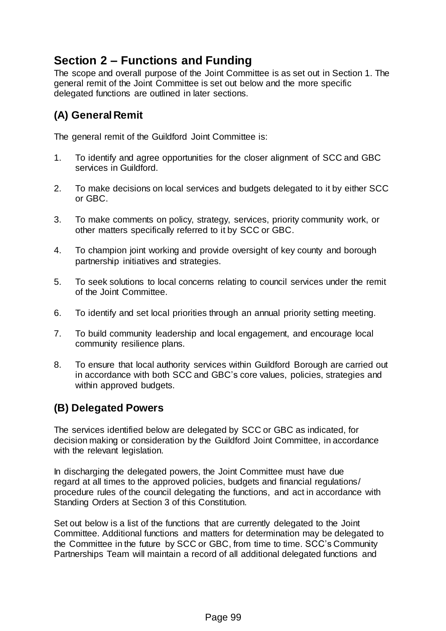## **Section 2 – Functions and Funding**

The scope and overall purpose of the Joint Committee is as set out in Section 1. The general remit of the Joint Committee is set out below and the more specific delegated functions are outlined in later sections.

## **(A) General Remit**

The general remit of the Guildford Joint Committee is:

- 1. To identify and agree opportunities for the closer alignment of SCC and GBC services in Guildford.
- 2. To make decisions on local services and budgets delegated to it by either SCC or GBC.
- 3. To make comments on policy, strategy, services, priority community work, or other matters specifically referred to it by SCC or GBC.
- 4. To champion joint working and provide oversight of key county and borough partnership initiatives and strategies.
- 5. To seek solutions to local concerns relating to council services under the remit of the Joint Committee.
- 6. To identify and set local priorities through an annual priority setting meeting.
- 7. To build community leadership and local engagement, and encourage local community resilience plans.
- 8. To ensure that local authority services within Guildford Borough are carried out in accordance with both SCC and GBC's core values, policies, strategies and within approved budgets.

## **(B) Delegated Powers**

The services identified below are delegated by SCC or GBC as indicated, for decision making or consideration by the Guildford Joint Committee, in accordance with the relevant legislation.

In discharging the delegated powers, the Joint Committee must have due regard at all times to the approved policies, budgets and financial regulations/ procedure rules of the council delegating the functions, and act in accordance with Standing Orders at Section 3 of this Constitution.

Set out below is a list of the functions that are currently delegated to the Joint Committee. Additional functions and matters for determination may be delegated to the Committee in the future by SCC or GBC, from time to time. SCC's Community Partnerships Team will maintain a record of all additional delegated functions and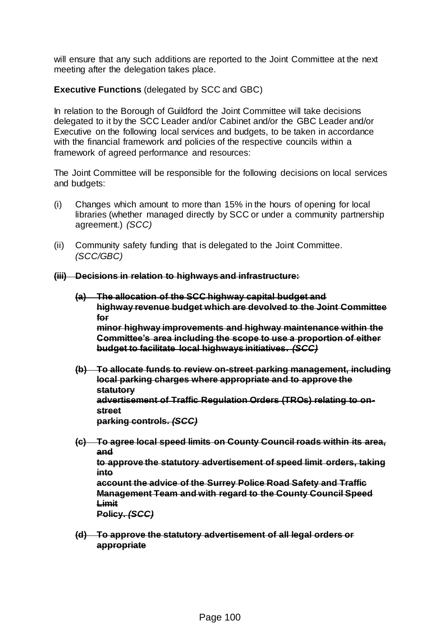will ensure that any such additions are reported to the Joint Committee at the next meeting after the delegation takes place.

### **Executive Functions** (delegated by SCC and GBC)

In relation to the Borough of Guildford the Joint Committee will take decisions delegated to it by the SCC Leader and/or Cabinet and/or the GBC Leader and/or Executive on the following local services and budgets, to be taken in accordance with the financial framework and policies of the respective councils within a framework of agreed performance and resources:

The Joint Committee will be responsible for the following decisions on local services and budgets:

- (i) Changes which amount to more than 15% in the hours of opening for local libraries (whether managed directly by SCC or under a community partnership agreement.) *(SCC)*
- (ii) Community safety funding that is delegated to the Joint Committee. *(SCC/GBC)*

#### **(iii) Decisions in relation to highways and infrastructure:**

- **(a) The allocation of the SCC highway capital budget and highway revenue budget which are devolved to the Joint Committee for minor highway improvements and highway maintenance within the Committee's area including the scope to use a proportion of either budget to facilitate local highways initiatives.** *(SCC)*
- **(b) To allocate funds to review on-street parking management, including local parking charges where appropriate and to approve the statutory advertisement of Traffic Regulation Orders (TROs) relating to onstreet parking controls.** *(SCC)*
- **(c) To agree local speed limits on County Council roads within its area, and**

**to approve the statutory advertisement of speed limit orders, taking into**

**account the advice of the Surrey Police Road Safety and Traffic Management Team and with regard to the County Council Speed Limit**

**Policy.** *(SCC)*

**(d) To approve the statutory advertisement of all legal orders or appropriate**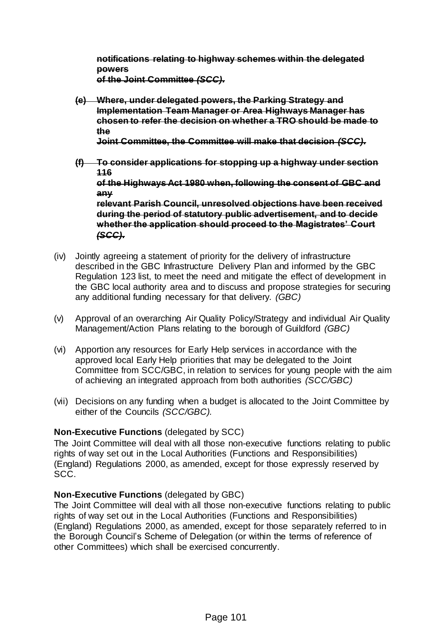**notifications relating to highway schemes within the delegated powers of the Joint Committee** *(SCC).*

**(e) Where, under delegated powers, the Parking Strategy and Implementation Team Manager or Area Highways Manager has chosen to refer the decision on whether a TRO should be made to the**

**Joint Committee, the Committee will make that decision** *(SCC).*

**(f) To consider applications for stopping up a highway under section 116**

**of the Highways Act 1980 when, following the consent of GBC and any**

**relevant Parish Council, unresolved objections have been received during the period of statutory public advertisement, and to decide whether the application should proceed to the Magistrates' Court** *(SCC).*

- (iv) Jointly agreeing a statement of priority for the delivery of infrastructure described in the GBC Infrastructure Delivery Plan and informed by the GBC Regulation 123 list, to meet the need and mitigate the effect of development in the GBC local authority area and to discuss and propose strategies for securing any additional funding necessary for that delivery. *(GBC)*
- (v) Approval of an overarching Air Quality Policy/Strategy and individual Air Quality Management/Action Plans relating to the borough of Guildford *(GBC)*
- (vi) Apportion any resources for Early Help services in accordance with the approved local Early Help priorities that may be delegated to the Joint Committee from SCC/GBC, in relation to services for young people with the aim of achieving an integrated approach from both authorities *(SCC/GBC)*
- (vii) Decisions on any funding when a budget is allocated to the Joint Committee by either of the Councils *(SCC/GBC).*

## **Non-Executive Functions** (delegated by SCC)

The Joint Committee will deal with all those non-executive functions relating to public rights of way set out in the Local Authorities (Functions and Responsibilities) (England) Regulations 2000, as amended, except for those expressly reserved by SCC.

#### **Non-Executive Functions** (delegated by GBC)

The Joint Committee will deal with all those non-executive functions relating to public rights of way set out in the Local Authorities (Functions and Responsibilities) (England) Regulations 2000, as amended, except for those separately referred to in the Borough Council's Scheme of Delegation (or within the terms of reference of other Committees) which shall be exercised concurrently.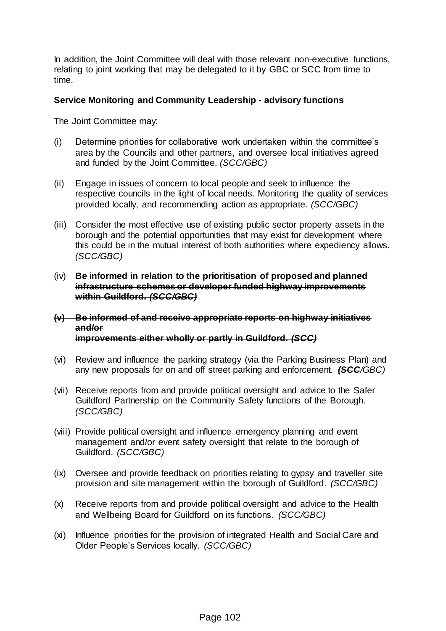In addition, the Joint Committee will deal with those relevant non-executive functions, relating to joint working that may be delegated to it by GBC or SCC from time to time.

#### **Service Monitoring and Community Leadership - advisory functions**

The Joint Committee may:

- (i) Determine priorities for collaborative work undertaken within the committee's area by the Councils and other partners, and oversee local initiatives agreed and funded by the Joint Committee. *(SCC/GBC)*
- (ii) Engage in issues of concern to local people and seek to influence the respective councils in the light of local needs. Monitoring the quality of services provided locally, and recommending action as appropriate. *(SCC/GBC)*
- (iii) Consider the most effective use of existing public sector property assets in the borough and the potential opportunities that may exist for development where this could be in the mutual interest of both authorities where expediency allows. *(SCC/GBC)*
- (iv) **Be informed in relation to the prioritisation of proposed and planned infrastructure schemes or developer funded highway improvements within Guildford.** *(SCC/GBC)*
- **(v) Be informed of and receive appropriate reports on highway initiatives and/or improvements either wholly or partly in Guildford.** *(SCC)*
- (vi) Review and influence the parking strategy (via the Parking Business Plan) and any new proposals for on and off street parking and enforcement. *(SCC/GBC)*
- (vii) Receive reports from and provide political oversight and advice to the Safer Guildford Partnership on the Community Safety functions of the Borough. *(SCC/GBC)*
- (viii) Provide political oversight and influence emergency planning and event management and/or event safety oversight that relate to the borough of Guildford. *(SCC/GBC)*
- (ix) Oversee and provide feedback on priorities relating to gypsy and traveller site provision and site management within the borough of Guildford. *(SCC/GBC)*
- (x) Receive reports from and provide political oversight and advice to the Health and Wellbeing Board for Guildford on its functions. *(SCC/GBC)*
- (xi) Influence priorities for the provision of integrated Health and Social Care and Older People's Services locally. *(SCC/GBC)*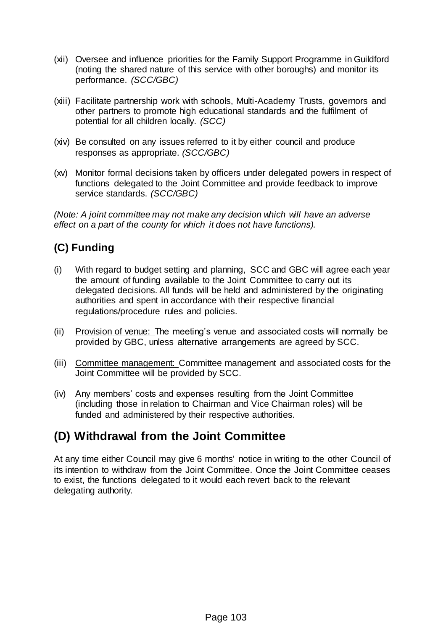- (xii) Oversee and influence priorities for the Family Support Programme in Guildford (noting the shared nature of this service with other boroughs) and monitor its performance. *(SCC/GBC)*
- (xiii) Facilitate partnership work with schools, Multi-Academy Trusts, governors and other partners to promote high educational standards and the fulfilment of potential for all children locally. *(SCC)*
- (xiv) Be consulted on any issues referred to it by either council and produce responses as appropriate. *(SCC/GBC)*
- (xv) Monitor formal decisions taken by officers under delegated powers in respect of functions delegated to the Joint Committee and provide feedback to improve service standards. *(SCC/GBC)*

*(Note: A joint committee may not make any decision which will have an adverse effect on a part of the county for which it does not have functions).*

## **(C) Funding**

- (i) With regard to budget setting and planning, SCC and GBC will agree each year the amount of funding available to the Joint Committee to carry out its delegated decisions. All funds will be held and administered by the originating authorities and spent in accordance with their respective financial regulations/procedure rules and policies.
- (ii) Provision of venue: The meeting's venue and associated costs will normally be provided by GBC, unless alternative arrangements are agreed by SCC.
- (iii) Committee management: Committee management and associated costs for the Joint Committee will be provided by SCC.
- (iv) Any members' costs and expenses resulting from the Joint Committee (including those in relation to Chairman and Vice Chairman roles) will be funded and administered by their respective authorities.

## **(D) Withdrawal from the Joint Committee**

At any time either Council may give 6 months' notice in writing to the other Council of its intention to withdraw from the Joint Committee. Once the Joint Committee ceases to exist, the functions delegated to it would each revert back to the relevant delegating authority.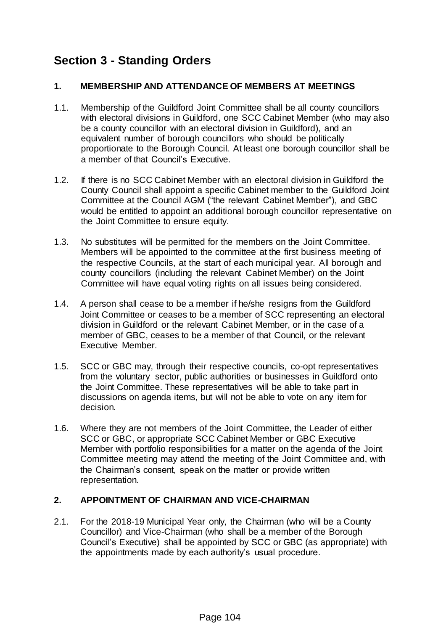## **Section 3 - Standing Orders**

### **1. MEMBERSHIP AND ATTENDANCE OF MEMBERS AT MEETINGS**

- 1.1. Membership of the Guildford Joint Committee shall be all county councillors with electoral divisions in Guildford, one SCC Cabinet Member (who may also be a county councillor with an electoral division in Guildford), and an equivalent number of borough councillors who should be politically proportionate to the Borough Council. At least one borough councillor shall be a member of that Council's Executive.
- 1.2. If there is no SCC Cabinet Member with an electoral division in Guildford the County Council shall appoint a specific Cabinet member to the Guildford Joint Committee at the Council AGM ("the relevant Cabinet Member"), and GBC would be entitled to appoint an additional borough councillor representative on the Joint Committee to ensure equity.
- 1.3. No substitutes will be permitted for the members on the Joint Committee. Members will be appointed to the committee at the first business meeting of the respective Councils, at the start of each municipal year. All borough and county councillors (including the relevant Cabinet Member) on the Joint Committee will have equal voting rights on all issues being considered.
- 1.4. A person shall cease to be a member if he/she resigns from the Guildford Joint Committee or ceases to be a member of SCC representing an electoral division in Guildford or the relevant Cabinet Member, or in the case of a member of GBC, ceases to be a member of that Council, or the relevant Executive Member.
- 1.5. SCC or GBC may, through their respective councils, co-opt representatives from the voluntary sector, public authorities or businesses in Guildford onto the Joint Committee. These representatives will be able to take part in discussions on agenda items, but will not be able to vote on any item for decision.
- 1.6. Where they are not members of the Joint Committee, the Leader of either SCC or GBC, or appropriate SCC Cabinet Member or GBC Executive Member with portfolio responsibilities for a matter on the agenda of the Joint Committee meeting may attend the meeting of the Joint Committee and, with the Chairman's consent, speak on the matter or provide written representation.

#### **2. APPOINTMENT OF CHAIRMAN AND VICE-CHAIRMAN**

2.1. For the 2018-19 Municipal Year only, the Chairman (who will be a County Councillor) and Vice-Chairman (who shall be a member of the Borough Council's Executive) shall be appointed by SCC or GBC (as appropriate) with the appointments made by each authority's usual procedure.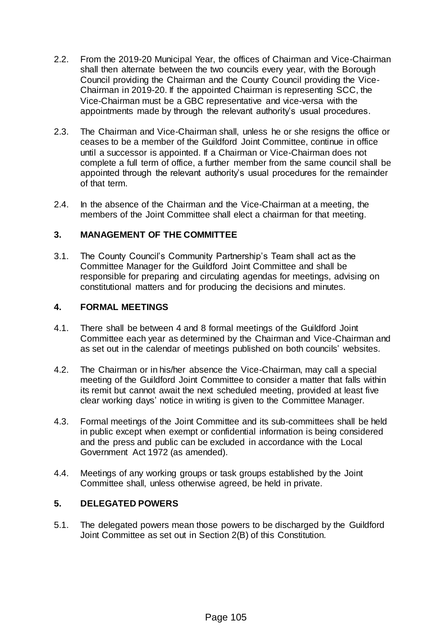- 2.2. From the 2019-20 Municipal Year, the offices of Chairman and Vice-Chairman shall then alternate between the two councils every year, with the Borough Council providing the Chairman and the County Council providing the Vice-Chairman in 2019-20. If the appointed Chairman is representing SCC, the Vice-Chairman must be a GBC representative and vice-versa with the appointments made by through the relevant authority's usual procedures.
- 2.3. The Chairman and Vice-Chairman shall, unless he or she resigns the office or ceases to be a member of the Guildford Joint Committee, continue in office until a successor is appointed. If a Chairman or Vice-Chairman does not complete a full term of office, a further member from the same council shall be appointed through the relevant authority's usual procedures for the remainder of that term.
- 2.4. In the absence of the Chairman and the Vice-Chairman at a meeting, the members of the Joint Committee shall elect a chairman for that meeting.

## **3. MANAGEMENT OF THE COMMITTEE**

3.1. The County Council's Community Partnership's Team shall act as the Committee Manager for the Guildford Joint Committee and shall be responsible for preparing and circulating agendas for meetings, advising on constitutional matters and for producing the decisions and minutes.

### **4. FORMAL MEETINGS**

- 4.1. There shall be between 4 and 8 formal meetings of the Guildford Joint Committee each year as determined by the Chairman and Vice-Chairman and as set out in the calendar of meetings published on both councils' websites.
- 4.2. The Chairman or in his/her absence the Vice-Chairman, may call a special meeting of the Guildford Joint Committee to consider a matter that falls within its remit but cannot await the next scheduled meeting, provided at least five clear working days' notice in writing is given to the Committee Manager.
- 4.3. Formal meetings of the Joint Committee and its sub-committees shall be held in public except when exempt or confidential information is being considered and the press and public can be excluded in accordance with the Local Government Act 1972 (as amended).
- 4.4. Meetings of any working groups or task groups established by the Joint Committee shall, unless otherwise agreed, be held in private.

## **5. DELEGATED POWERS**

5.1. The delegated powers mean those powers to be discharged by the Guildford Joint Committee as set out in Section 2(B) of this Constitution.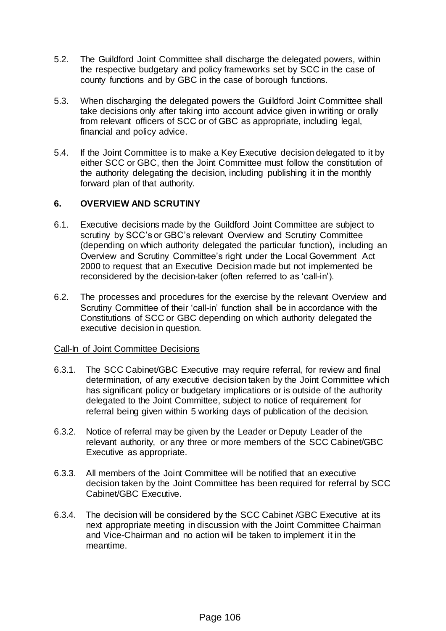- 5.2. The Guildford Joint Committee shall discharge the delegated powers, within the respective budgetary and policy frameworks set by SCC in the case of county functions and by GBC in the case of borough functions.
- 5.3. When discharging the delegated powers the Guildford Joint Committee shall take decisions only after taking into account advice given in writing or orally from relevant officers of SCC or of GBC as appropriate, including legal, financial and policy advice.
- 5.4. If the Joint Committee is to make a Key Executive decision delegated to it by either SCC or GBC, then the Joint Committee must follow the constitution of the authority delegating the decision, including publishing it in the monthly forward plan of that authority.

#### **6. OVERVIEW AND SCRUTINY**

- 6.1. Executive decisions made by the Guildford Joint Committee are subject to scrutiny by SCC's or GBC's relevant Overview and Scrutiny Committee (depending on which authority delegated the particular function), including an Overview and Scrutiny Committee's right under the Local Government Act 2000 to request that an Executive Decision made but not implemented be reconsidered by the decision-taker (often referred to as 'call-in').
- 6.2. The processes and procedures for the exercise by the relevant Overview and Scrutiny Committee of their 'call-in' function shall be in accordance with the Constitutions of SCC or GBC depending on which authority delegated the executive decision in question.

#### Call-In of Joint Committee Decisions

- 6.3.1. The SCC Cabinet/GBC Executive may require referral, for review and final determination, of any executive decision taken by the Joint Committee which has significant policy or budgetary implications or is outside of the authority delegated to the Joint Committee, subject to notice of requirement for referral being given within 5 working days of publication of the decision.
- 6.3.2. Notice of referral may be given by the Leader or Deputy Leader of the relevant authority, or any three or more members of the SCC Cabinet/GBC Executive as appropriate.
- 6.3.3. All members of the Joint Committee will be notified that an executive decision taken by the Joint Committee has been required for referral by SCC Cabinet/GBC Executive.
- 6.3.4. The decision will be considered by the SCC Cabinet /GBC Executive at its next appropriate meeting in discussion with the Joint Committee Chairman and Vice-Chairman and no action will be taken to implement it in the meantime.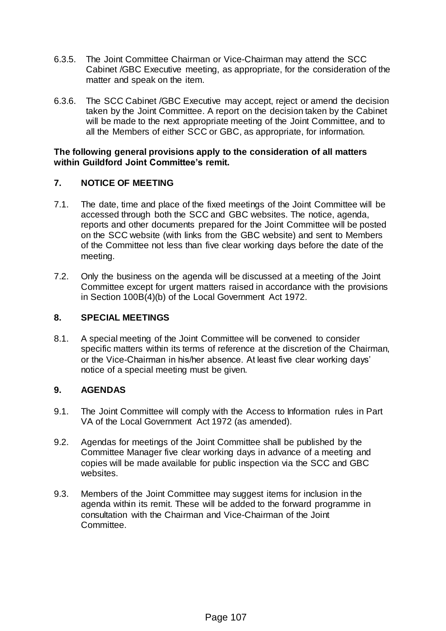- 6.3.5. The Joint Committee Chairman or Vice-Chairman may attend the SCC Cabinet /GBC Executive meeting, as appropriate, for the consideration of the matter and speak on the item.
- 6.3.6. The SCC Cabinet /GBC Executive may accept, reject or amend the decision taken by the Joint Committee. A report on the decision taken by the Cabinet will be made to the next appropriate meeting of the Joint Committee, and to all the Members of either SCC or GBC, as appropriate, for information.

#### **The following general provisions apply to the consideration of all matters within Guildford Joint Committee's remit.**

## **7. NOTICE OF MEETING**

- 7.1. The date, time and place of the fixed meetings of the Joint Committee will be accessed through both the SCC and GBC websites. The notice, agenda, reports and other documents prepared for the Joint Committee will be posted on the SCC website (with links from the GBC website) and sent to Members of the Committee not less than five clear working days before the date of the meeting.
- 7.2. Only the business on the agenda will be discussed at a meeting of the Joint Committee except for urgent matters raised in accordance with the provisions in Section 100B(4)(b) of the Local Government Act 1972.

#### **8. SPECIAL MEETINGS**

8.1. A special meeting of the Joint Committee will be convened to consider specific matters within its terms of reference at the discretion of the Chairman, or the Vice-Chairman in his/her absence. At least five clear working days' notice of a special meeting must be given.

## **9. AGENDAS**

- 9.1. The Joint Committee will comply with the Access to Information rules in Part VA of the Local Government Act 1972 (as amended).
- 9.2. Agendas for meetings of the Joint Committee shall be published by the Committee Manager five clear working days in advance of a meeting and copies will be made available for public inspection via the SCC and GBC websites.
- 9.3. Members of the Joint Committee may suggest items for inclusion in the agenda within its remit. These will be added to the forward programme in consultation with the Chairman and Vice-Chairman of the Joint Committee.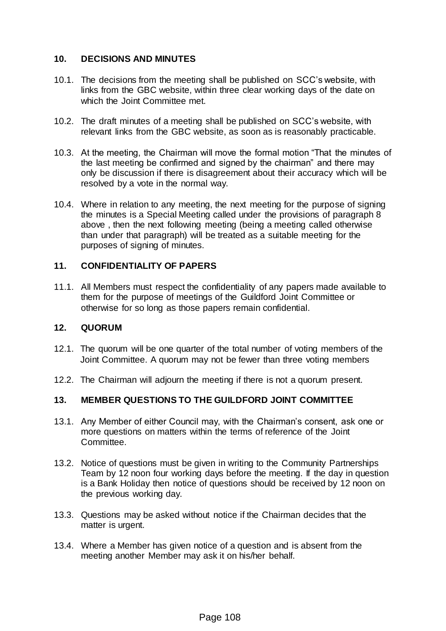#### **10. DECISIONS AND MINUTES**

- 10.1. The decisions from the meeting shall be published on SCC's website, with links from the GBC website, within three clear working days of the date on which the Joint Committee met.
- 10.2. The draft minutes of a meeting shall be published on SCC's website, with relevant links from the GBC website, as soon as is reasonably practicable.
- 10.3. At the meeting, the Chairman will move the formal motion "That the minutes of the last meeting be confirmed and signed by the chairman" and there may only be discussion if there is disagreement about their accuracy which will be resolved by a vote in the normal way.
- 10.4. Where in relation to any meeting, the next meeting for the purpose of signing the minutes is a Special Meeting called under the provisions of paragraph 8 above , then the next following meeting (being a meeting called otherwise than under that paragraph) will be treated as a suitable meeting for the purposes of signing of minutes.

### **11. CONFIDENTIALITY OF PAPERS**

11.1. All Members must respect the confidentiality of any papers made available to them for the purpose of meetings of the Guildford Joint Committee or otherwise for so long as those papers remain confidential.

#### **12. QUORUM**

- 12.1. The quorum will be one quarter of the total number of voting members of the Joint Committee. A quorum may not be fewer than three voting members
- 12.2. The Chairman will adjourn the meeting if there is not a quorum present.

## **13. MEMBER QUESTIONS TO THE GUILDFORD JOINT COMMITTEE**

- 13.1. Any Member of either Council may, with the Chairman's consent, ask one or more questions on matters within the terms of reference of the Joint Committee.
- 13.2. Notice of questions must be given in writing to the Community Partnerships Team by 12 noon four working days before the meeting. If the day in question is a Bank Holiday then notice of questions should be received by 12 noon on the previous working day.
- 13.3. Questions may be asked without notice if the Chairman decides that the matter is urgent.
- 13.4. Where a Member has given notice of a question and is absent from the meeting another Member may ask it on his/her behalf.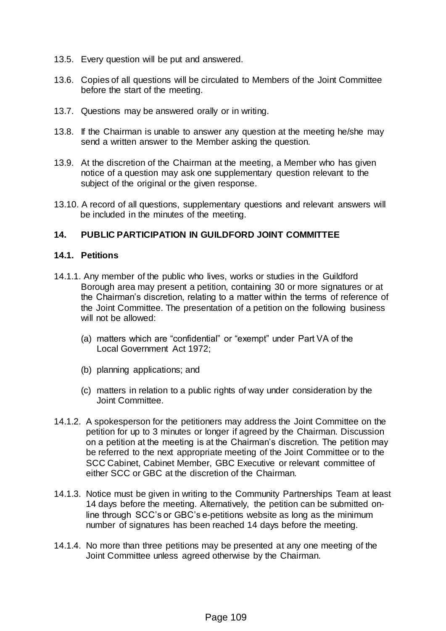- 13.5. Every question will be put and answered.
- 13.6. Copies of all questions will be circulated to Members of the Joint Committee before the start of the meeting.
- 13.7. Questions may be answered orally or in writing.
- 13.8. If the Chairman is unable to answer any question at the meeting he/she may send a written answer to the Member asking the question.
- 13.9. At the discretion of the Chairman at the meeting, a Member who has given notice of a question may ask one supplementary question relevant to the subject of the original or the given response.
- 13.10. A record of all questions, supplementary questions and relevant answers will be included in the minutes of the meeting.

#### **14. PUBLIC PARTICIPATION IN GUILDFORD JOINT COMMITTEE**

#### **14.1. Petitions**

- 14.1.1. Any member of the public who lives, works or studies in the Guildford Borough area may present a petition, containing 30 or more signatures or at the Chairman's discretion, relating to a matter within the terms of reference of the Joint Committee. The presentation of a petition on the following business will not be allowed:
	- (a) matters which are "confidential" or "exempt" under Part VA of the Local Government Act 1972;
	- (b) planning applications; and
	- (c) matters in relation to a public rights of way under consideration by the Joint Committee.
- 14.1.2. A spokesperson for the petitioners may address the Joint Committee on the petition for up to 3 minutes or longer if agreed by the Chairman. Discussion on a petition at the meeting is at the Chairman's discretion. The petition may be referred to the next appropriate meeting of the Joint Committee or to the SCC Cabinet, Cabinet Member, GBC Executive or relevant committee of either SCC or GBC at the discretion of the Chairman.
- 14.1.3. Notice must be given in writing to the Community Partnerships Team at least 14 days before the meeting. Alternatively, the petition can be submitted online through SCC's or GBC's e-petitions website as long as the minimum number of signatures has been reached 14 days before the meeting.
- 14.1.4. No more than three petitions may be presented at any one meeting of the Joint Committee unless agreed otherwise by the Chairman.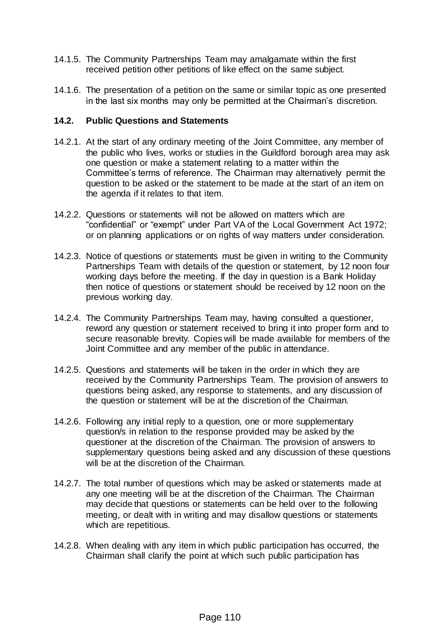- 14.1.5. The Community Partnerships Team may amalgamate within the first received petition other petitions of like effect on the same subject.
- 14.1.6. The presentation of a petition on the same or similar topic as one presented in the last six months may only be permitted at the Chairman's discretion.

#### **14.2. Public Questions and Statements**

- 14.2.1. At the start of any ordinary meeting of the Joint Committee, any member of the public who lives, works or studies in the Guildford borough area may ask one question or make a statement relating to a matter within the Committee's terms of reference. The Chairman may alternatively permit the question to be asked or the statement to be made at the start of an item on the agenda if it relates to that item.
- 14.2.2. Questions or statements will not be allowed on matters which are "confidential" or "exempt" under Part VA of the Local Government Act 1972; or on planning applications or on rights of way matters under consideration.
- 14.2.3. Notice of questions or statements must be given in writing to the Community Partnerships Team with details of the question or statement, by 12 noon four working days before the meeting. If the day in question is a Bank Holiday then notice of questions or statement should be received by 12 noon on the previous working day.
- 14.2.4. The Community Partnerships Team may, having consulted a questioner, reword any question or statement received to bring it into proper form and to secure reasonable brevity. Copies will be made available for members of the Joint Committee and any member of the public in attendance.
- 14.2.5. Questions and statements will be taken in the order in which they are received by the Community Partnerships Team. The provision of answers to questions being asked, any response to statements, and any discussion of the question or statement will be at the discretion of the Chairman.
- 14.2.6. Following any initial reply to a question, one or more supplementary question/s in relation to the response provided may be asked by the questioner at the discretion of the Chairman. The provision of answers to supplementary questions being asked and any discussion of these questions will be at the discretion of the Chairman.
- 14.2.7. The total number of questions which may be asked or statements made at any one meeting will be at the discretion of the Chairman. The Chairman may decide that questions or statements can be held over to the following meeting, or dealt with in writing and may disallow questions or statements which are repetitious.
- 14.2.8. When dealing with any item in which public participation has occurred, the Chairman shall clarify the point at which such public participation has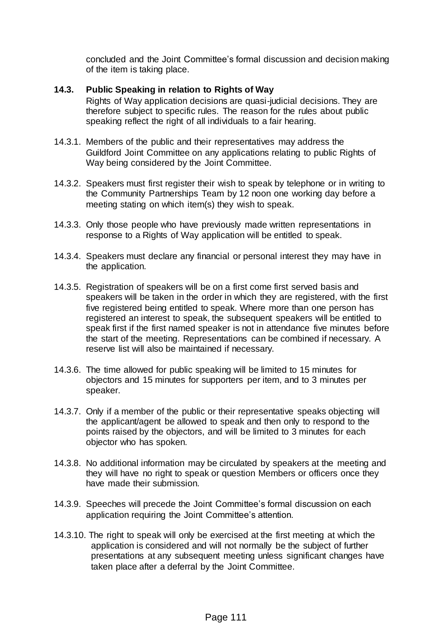concluded and the Joint Committee's formal discussion and decision making of the item is taking place.

### **14.3. Public Speaking in relation to Rights of Way**

Rights of Way application decisions are quasi-judicial decisions. They are therefore subject to specific rules. The reason for the rules about public speaking reflect the right of all individuals to a fair hearing.

- 14.3.1. Members of the public and their representatives may address the Guildford Joint Committee on any applications relating to public Rights of Way being considered by the Joint Committee.
- 14.3.2. Speakers must first register their wish to speak by telephone or in writing to the Community Partnerships Team by 12 noon one working day before a meeting stating on which item(s) they wish to speak.
- 14.3.3. Only those people who have previously made written representations in response to a Rights of Way application will be entitled to speak.
- 14.3.4. Speakers must declare any financial or personal interest they may have in the application.
- 14.3.5. Registration of speakers will be on a first come first served basis and speakers will be taken in the order in which they are registered, with the first five registered being entitled to speak. Where more than one person has registered an interest to speak, the subsequent speakers will be entitled to speak first if the first named speaker is not in attendance five minutes before the start of the meeting. Representations can be combined if necessary. A reserve list will also be maintained if necessary.
- 14.3.6. The time allowed for public speaking will be limited to 15 minutes for objectors and 15 minutes for supporters per item, and to 3 minutes per speaker.
- 14.3.7. Only if a member of the public or their representative speaks objecting will the applicant/agent be allowed to speak and then only to respond to the points raised by the objectors, and will be limited to 3 minutes for each objector who has spoken.
- 14.3.8. No additional information may be circulated by speakers at the meeting and they will have no right to speak or question Members or officers once they have made their submission.
- 14.3.9. Speeches will precede the Joint Committee's formal discussion on each application requiring the Joint Committee's attention.
- 14.3.10. The right to speak will only be exercised at the first meeting at which the application is considered and will not normally be the subject of further presentations at any subsequent meeting unless significant changes have taken place after a deferral by the Joint Committee.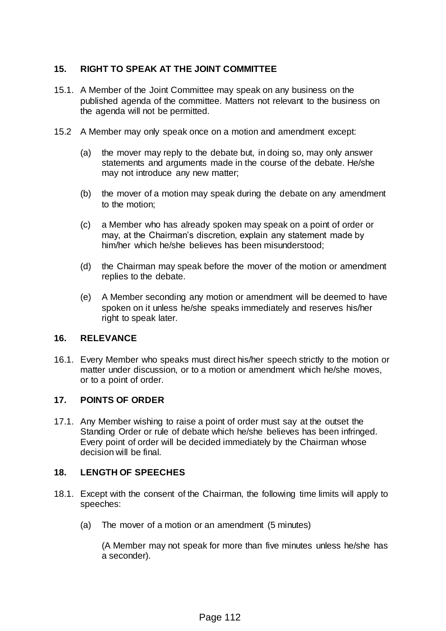## **15. RIGHT TO SPEAK AT THE JOINT COMMITTEE**

- 15.1. A Member of the Joint Committee may speak on any business on the published agenda of the committee. Matters not relevant to the business on the agenda will not be permitted.
- 15.2 A Member may only speak once on a motion and amendment except:
	- (a) the mover may reply to the debate but, in doing so, may only answer statements and arguments made in the course of the debate. He/she may not introduce any new matter;
	- (b) the mover of a motion may speak during the debate on any amendment to the motion;
	- (c) a Member who has already spoken may speak on a point of order or may, at the Chairman's discretion, explain any statement made by him/her which he/she believes has been misunderstood;
	- (d) the Chairman may speak before the mover of the motion or amendment replies to the debate.
	- (e) A Member seconding any motion or amendment will be deemed to have spoken on it unless he/she speaks immediately and reserves his/her right to speak later.

#### **16. RELEVANCE**

16.1. Every Member who speaks must direct his/her speech strictly to the motion or matter under discussion, or to a motion or amendment which he/she moves, or to a point of order.

#### **17. POINTS OF ORDER**

17.1. Any Member wishing to raise a point of order must say at the outset the Standing Order or rule of debate which he/she believes has been infringed. Every point of order will be decided immediately by the Chairman whose decision will be final.

#### **18. LENGTH OF SPEECHES**

- 18.1. Except with the consent of the Chairman, the following time limits will apply to speeches:
	- (a) The mover of a motion or an amendment (5 minutes)

(A Member may not speak for more than five minutes unless he/she has a seconder).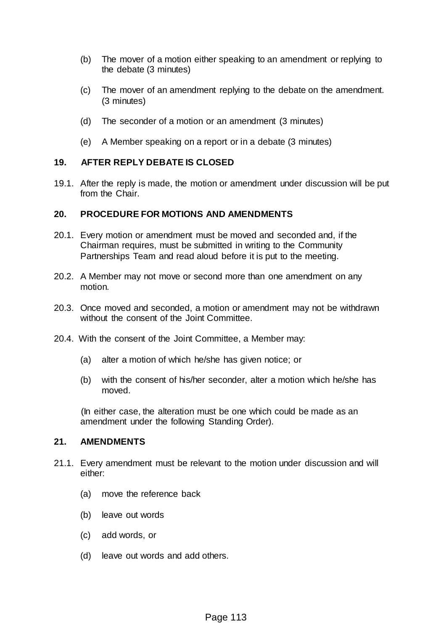- (b) The mover of a motion either speaking to an amendment or replying to the debate (3 minutes)
- (c) The mover of an amendment replying to the debate on the amendment. (3 minutes)
- (d) The seconder of a motion or an amendment (3 minutes)
- (e) A Member speaking on a report or in a debate (3 minutes)

#### **19. AFTER REPLY DEBATE IS CLOSED**

19.1. After the reply is made, the motion or amendment under discussion will be put from the Chair.

#### **20. PROCEDURE FOR MOTIONS AND AMENDMENTS**

- 20.1. Every motion or amendment must be moved and seconded and, if the Chairman requires, must be submitted in writing to the Community Partnerships Team and read aloud before it is put to the meeting.
- 20.2. A Member may not move or second more than one amendment on any motion.
- 20.3. Once moved and seconded, a motion or amendment may not be withdrawn without the consent of the Joint Committee.
- 20.4. With the consent of the Joint Committee, a Member may:
	- (a) alter a motion of which he/she has given notice; or
	- (b) with the consent of his/her seconder, alter a motion which he/she has moved.

(In either case, the alteration must be one which could be made as an amendment under the following Standing Order).

#### **21. AMENDMENTS**

- 21.1. Every amendment must be relevant to the motion under discussion and will either:
	- (a) move the reference back
	- (b) leave out words
	- (c) add words, or
	- (d) leave out words and add others.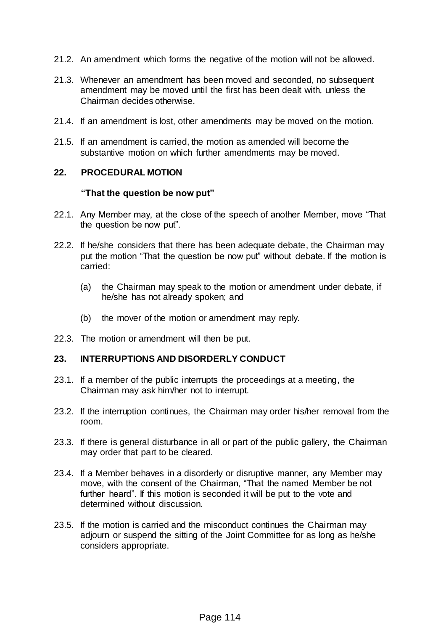- 21.2. An amendment which forms the negative of the motion will not be allowed.
- 21.3. Whenever an amendment has been moved and seconded, no subsequent amendment may be moved until the first has been dealt with, unless the Chairman decides otherwise.
- 21.4. If an amendment is lost, other amendments may be moved on the motion.
- 21.5. If an amendment is carried, the motion as amended will become the substantive motion on which further amendments may be moved.

#### **22. PROCEDURAL MOTION**

#### **"That the question be now put"**

- 22.1. Any Member may, at the close of the speech of another Member, move "That the question be now put".
- 22.2. If he/she considers that there has been adequate debate, the Chairman may put the motion "That the question be now put" without debate. If the motion is carried:
	- (a) the Chairman may speak to the motion or amendment under debate, if he/she has not already spoken; and
	- (b) the mover of the motion or amendment may reply.
- 22.3. The motion or amendment will then be put.

#### **23. INTERRUPTIONS AND DISORDERLY CONDUCT**

- 23.1. If a member of the public interrupts the proceedings at a meeting, the Chairman may ask him/her not to interrupt.
- 23.2. If the interruption continues, the Chairman may order his/her removal from the room.
- 23.3. If there is general disturbance in all or part of the public gallery, the Chairman may order that part to be cleared.
- 23.4. If a Member behaves in a disorderly or disruptive manner, any Member may move, with the consent of the Chairman, "That the named Member be not further heard". If this motion is seconded it will be put to the vote and determined without discussion.
- 23.5. If the motion is carried and the misconduct continues the Chairman may adjourn or suspend the sitting of the Joint Committee for as long as he/she considers appropriate.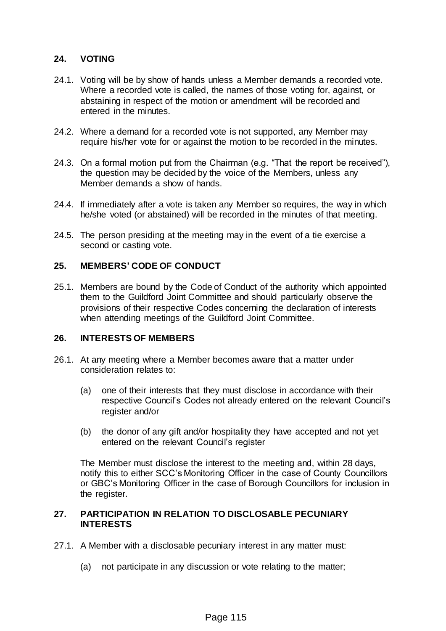#### **24. VOTING**

- 24.1. Voting will be by show of hands unless a Member demands a recorded vote. Where a recorded vote is called, the names of those voting for, against, or abstaining in respect of the motion or amendment will be recorded and entered in the minutes.
- 24.2. Where a demand for a recorded vote is not supported, any Member may require his/her vote for or against the motion to be recorded in the minutes.
- 24.3. On a formal motion put from the Chairman (e.g. "That the report be received"), the question may be decided by the voice of the Members, unless any Member demands a show of hands.
- 24.4. If immediately after a vote is taken any Member so requires, the way in which he/she voted (or abstained) will be recorded in the minutes of that meeting.
- 24.5. The person presiding at the meeting may in the event of a tie exercise a second or casting vote.

#### **25. MEMBERS' CODE OF CONDUCT**

25.1. Members are bound by the Code of Conduct of the authority which appointed them to the Guildford Joint Committee and should particularly observe the provisions of their respective Codes concerning the declaration of interests when attending meetings of the Guildford Joint Committee.

#### **26. INTERESTS OF MEMBERS**

- 26.1. At any meeting where a Member becomes aware that a matter under consideration relates to:
	- (a) one of their interests that they must disclose in accordance with their respective Council's Codes not already entered on the relevant Council's register and/or
	- (b) the donor of any gift and/or hospitality they have accepted and not yet entered on the relevant Council's register

The Member must disclose the interest to the meeting and, within 28 days, notify this to either SCC's Monitoring Officer in the case of County Councillors or GBC's Monitoring Officer in the case of Borough Councillors for inclusion in the register.

#### **27. PARTICIPATION IN RELATION TO DISCLOSABLE PECUNIARY INTERESTS**

- 27.1. A Member with a disclosable pecuniary interest in any matter must:
	- (a) not participate in any discussion or vote relating to the matter;